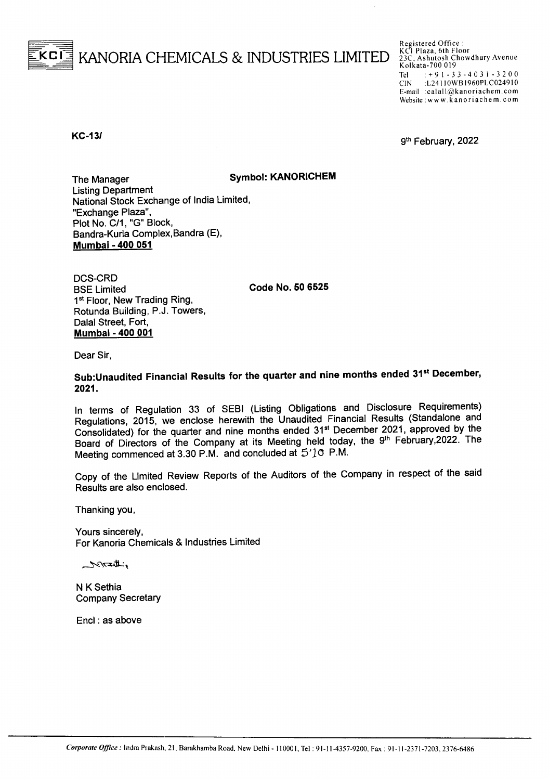

Registered Office :<br>KCI Plaza, 6th Floor<br>23C, Ashutosh Chowdhury Avenue Kolkata-700 019 Tel:  $\div$  9 1 - 3 3 - 4 0 3 1 - 3 2 0 0<br>CIN:  $\div$  1.24110WB1960PLC024910 :L24110WB1960PLC024910 E-mail :calall@kanoriachem.com Website: www.kanoriachem.com

**KC-13/** 9<sup>th</sup> February, 2022

The Manager Symbol: KANORICHEM Listing Department National Stock Exchange of India Limited, "Exchange Plaza", Plot No. *C/1,* "G" Block, Bandra-Kurla Complex,Bandra (E), Mumbai - 400 051

DCS-CRD BSE Limited 1<sup>st</sup> Floor, New Trading Ring, Rotunda Building, P.J. Towers, Dalal Street, Fort, Mumbai - 400 001

Code No. 50 6525

Dear Sir,

Sub:Unaudited Financial Results for the quarter and nine months ended 31<sup>st</sup> December, 2021.

In terms of Regulation 33 of SEBI (Listing Obligations and Disclosure Requirements) Regulations, 2015, we enclose herewith the Unaudited Financial Results (Standalone and Consolidated) for the quarter and nine months ended 31st December 2021, approved by the Board of Directors of the Company at its Meeting held today, the 9<sup>th</sup> February, 2022. The Meeting commenced at 3.30 P.M. and concluded at  $5'1$ <sup>O</sup> P.M.

Copy of the Limited Review Reports of the Auditors of the Company in respect of the said Results are also enclosed.

Thanking you,

Yours sincerely, For Kanoria Chemicals & Industries Limited

منالتتى بالمرتبط

N K Sethia Company Secretary

Encl: as above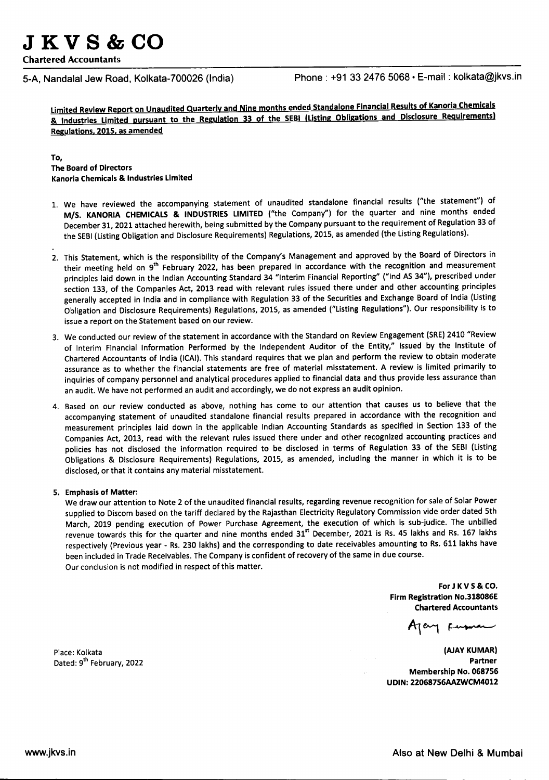**JKV8&CO**

Chartered Accountants

5-A, Nandalal Jew Road, Kolkata-700026 (India) Phone: +91 33 2476 5068 · E-mail: kolkata@jkvs.in

Limited Review Report on Unaudited Quarterly and Nine months ended Standalone Financial Results of Kanoria Chemicals & Industries Limited pursuant to the Regulation 33 of the SEBI(Listing Obligations and Disclosure Requirements) Regulations.2015.asamended

## To,

The Board of Directors Kanoria Chemicals & Industries Limited

- 1. We have reviewed the accompanying statement of unaudited standalone financial results ("the statement") of M/S. KANORIA CHEMICALS & INDUSTRIES LIMITED ("the Company") for the quarter and nine months ended December 31, 2021 attached herewith, being submitted by the Company pursuant to the requirement of Regulation 33 of the SEBI (Listing Obligation and Disclosure Requirements) Regulations, 2015, as amended (the Listing Regulations).
- 2. This Statement, which is the responsibility of the Company's Management and approved by the Board of Directors in their meeting held on 9<sup>th</sup> February 2022, has been prepared in accordance with the recognition and measurement principles laid down in the Indian Accounting Standard 34 "Interim Financial Reporting" ("Ind AS 34"), prescribed under section 133, of the Companies Act, 2013 read with relevant rules issued there under and other accounting principles generally accepted in India and in compliance with Regulation 33 of the Securities and Exchange Board of India (Listing Obligation and Disclosure Requirements) Regulations, 2015, as amended ("Listing Regulations"). Our responsibility is to issue a report on the Statement based on our review.
- 3. We conducted our review of the statement in accordance with the Standard on Review Engagement (SRE) 2410 "Review of Interim Financial Information Performed by the Independent Auditor of the Entity," issued by the Institute of Chartered Accountants of India (ICAI). This standard requires that we plan and perform the review to obtain moderate assurance as to whether the financial statements are free of material misstatement. A review is limited primarily to inquiries of company personnel and analytical procedures applied to financial data and thus provide less assurance than an audit. We have not performed an audit and accordingly, we do not express an audit opinion.
- 4. Based on our review conducted as above, nothing has come to our attention that causes us to believe that the accompanying statement of unaudited standalone financial results prepared in accordance with the recognition and measurement principles laid down in the applicable Indian Accounting Standards as specified in Section 133 of the Companies Act, 2013, read with the relevant rules issued there under and other recognized accounting practices and policies has not disclosed the information required to be disclosed in terms of Regulation 33 of the SEBI(Listing Obligations & Disclosure Requirements) Regulations,2015, as amended, including the manner in which it is to be disclosed, or that it contains any material misstatement.

# 5. Emphasisof Matter:

We draw our attention to Note 2 of the unaudited financial results, regarding revenue recognition for sale of Solar Power supplied to Discom based on the tariff declared by the Rajasthan Electricity Regulatory Commission vide order dated 5th March, 2019 pending execution of Power Purchase Agreement, the execution of which is sub-judice. The unbilled revenue towards this for the quarter and nine months ended 31<sup>st</sup> December, 2021 is Rs. 45 lakhs and Rs. 167 lakhs respectively (Previous year - Rs. 230 lakhs) and the corresponding to date receivables amounting to Rs. 611 lakhs have been included in Trade Receivables. The Company is confident of recovery of the same in due course. Our conclusion is not modified in respect of this matter.

> ForJ KV S& CO. Firm Registration No.318086E **Chartered Accountants**

(AJAY KUMAR) Partner Membership No. 068756 UDIN:22068756AAZWCM4012

Place: Kolkata Dated: 9<sup>th</sup> February, 2022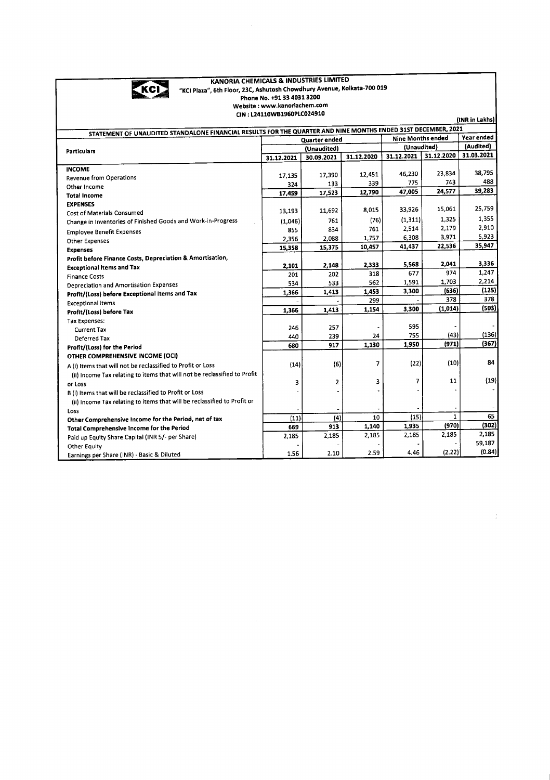

#### KANORIA CHEMICALS & INDUSTRIES LIMITED "KCI Plaza", 6th Floor, 23C, Ashutosh Chowdhury Avenue, Kolkata-700 019 Phone No. +9133 40313200 Website : www.kanoriachem.c

 $\bar{z}$ 

CIN : L24110WB1960PLC024910

(INR in Lakhs)

 $\frac{1}{4}$ 

| STATEMENT OF UNAUDITED STANDALONE FINANCIAL RESULTS FOR THE QUARTER AND NINE MONTHS ENDED 31ST DECEMBER, 2021 |                                    |            |            |             |            |            |
|---------------------------------------------------------------------------------------------------------------|------------------------------------|------------|------------|-------------|------------|------------|
|                                                                                                               | Nine Months ended<br>Quarter ended |            |            |             | Year ended |            |
| <b>Particulars</b>                                                                                            | (Unaudited)                        |            |            | (Unaudited) |            | (Audited)  |
| 31.12.2021                                                                                                    |                                    | 30.09.2021 | 31.12.2020 | 31.12.2021  | 31.12.2020 | 31.03.2021 |
| <b>INCOME</b>                                                                                                 |                                    |            |            |             |            |            |
| <b>Revenue from Operations</b>                                                                                | 17,135                             | 17,390     | 12,451     | 46,230      | 23,834     | 38,795     |
| Other Income                                                                                                  | 324                                | 133        | 339        | 775         | 743        | 488        |
| <b>Total Income</b>                                                                                           | 17,459                             | 17,523     | 12,790     | 47,005      | 24,577     | 39,283     |
| <b>EXPENSES</b>                                                                                               |                                    |            |            |             |            |            |
| Cost of Materials Consumed                                                                                    | 13,193                             | 11,692     | 8,015      | 33,926      | 15,061     | 25,759     |
| Change in Inventories of Finished Goods and Work-in-Progress                                                  | (1,046)                            | 761        | (76)       | (1, 311)    | 1,325      | 1.355      |
| <b>Employee Benefit Expenses</b>                                                                              | 855                                | 834        | 761        | 2,514       | 2,179      | 2,910      |
| <b>Other Expenses</b>                                                                                         | 2,356                              | 2,088      | 1,757      | 6,308       | 3,971      | 5,923      |
| <b>Expenses</b>                                                                                               | 15,358                             | 15,375     | 10,457     | 41,437      | 22,536     | 35,947     |
| Profit before Finance Costs, Depreciation & Amortisation,                                                     |                                    |            |            |             |            |            |
| <b>Exceptional Items and Tax</b>                                                                              | 2,101                              | 2,148      | 2,333      | 5,568       | 2,041      | 3,336      |
| <b>Finance Costs</b>                                                                                          | 201                                | 202        | 318        | 677         | 974        | 1,247      |
| Depreciation and Amortisation Expenses                                                                        | 534                                | 533        | 562        | 1,591       | 1,703      | 2,214      |
| Profit/(Loss) before Exceptional Items and Tax                                                                | 1,366                              | 1,413      | 1,453      | 3,300       | (636)      | (125)      |
| <b>Exceptional Items</b>                                                                                      |                                    |            | 299        |             | 378        | 378        |
| Profit/(Loss) before Tax                                                                                      | 1,366                              | 1,413      | 1,154      | 3,300       | (1,014)    | (503)      |
| Tax Expenses:                                                                                                 |                                    |            |            |             |            |            |
| <b>Current Tax</b>                                                                                            | 246                                | 257        |            | 595         |            |            |
| Deferred Tax                                                                                                  | 440                                | 239        | 24         | 755         | (43)       | (136)      |
| Profit/(Loss) for the Period                                                                                  | 680                                | 917        | 1,130      | 1,950       | (971)      | (367)      |
| OTHER COMPREHENSIVE INCOME (OCI)                                                                              |                                    |            |            |             |            |            |
| A (i) Items that will not be reclassified to Profit or Loss                                                   | (14)                               | (6)        | 7          | (22)        | (10)       | 84         |
| (ii) Income Tax relating to items that will not be reclassified to Profit                                     |                                    |            |            |             |            |            |
| or Loss                                                                                                       | 3                                  | 2          | 3          | 7           | 11         | (19)       |
| B (i) Items that will be reclassified to Profit or Loss                                                       |                                    |            |            |             |            |            |
| (ii) Income Tax relating to items that will be reclassified to Profit or                                      |                                    |            |            |             |            |            |
| Loss                                                                                                          |                                    |            |            |             |            |            |
| Other Comprehensive Income for the Period, net of tax                                                         | (11)                               | (4)        | 10         | (15)        | 1          | 65         |
| Total Comprehensive Income for the Period                                                                     | 669                                | 913        | 1,140      | 1,935       | (970)      | (302)      |
| Paid up Equity Share Capital (INR 5/- per Share)                                                              | 2,185                              | 2,185      | 2,185      | 2,185       | 2,185      | 2,185      |
| <b>Other Equity</b>                                                                                           |                                    |            |            |             |            | 59,187     |
| Earnings per Share (INR) - Basic & Diluted                                                                    | 1.56                               | 2.10       | 2.59       | 4.46        | (2.22)     | (0.84)     |

 $\sim$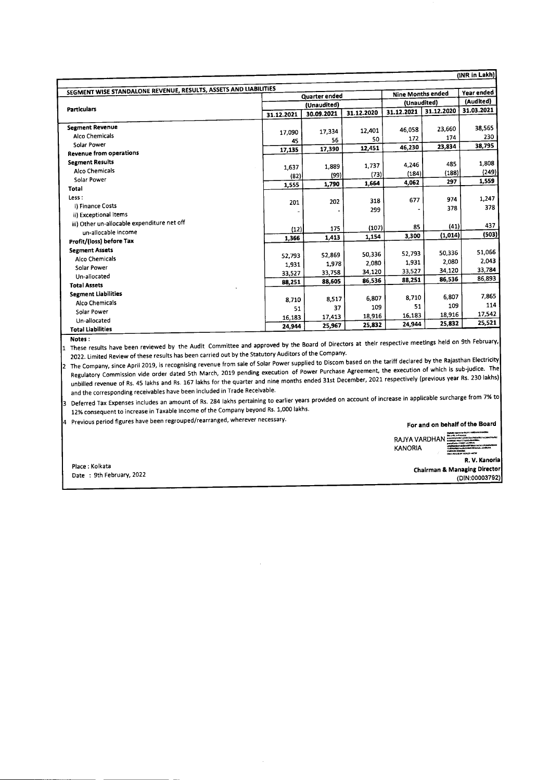|                                                                  |            |               |            |                   |             | (INR in Lakh)    |
|------------------------------------------------------------------|------------|---------------|------------|-------------------|-------------|------------------|
|                                                                  |            |               |            |                   |             |                  |
| SEGMENT WISE STANDALONE REVENUE, RESULTS, ASSETS AND LIABILITIES |            | Quarter ended |            | Nine Months ended |             | Year ended       |
| Particulars                                                      |            | (Unaudited)   |            |                   | (Unaudited) | (Audited)        |
|                                                                  | 31.12.2021 | 30.09.2021    | 31.12.2020 | 31.12.2021        | 31.12.2020  | 31.03.2021       |
| <b>Segment Revenue</b>                                           |            |               | 12,401     | 46.058            | 23,660      | 38.565           |
| Alco Chemicals                                                   | 17.090     | 17,334        | 50         | 172               | 174         | 230              |
| Solar Power                                                      | 45         | 56            |            | 46,230            | 23,834      | 38,795           |
| <b>Revenue from operations</b>                                   | 17,135     | 17,390        | 12,451     |                   |             |                  |
| <b>Segment Results</b>                                           |            |               | 1,737      | 4.246             | 485         | 1,808            |
| Alco Chemicals                                                   | 1.637      | 1,889         |            | (184)             | (188)       | (249)            |
| Solar Power                                                      | (82)       | (99)          | (73)       | 4.062             | 297         | 1,559            |
| Total                                                            | 1,555      | 1,790         | 1,664      |                   |             |                  |
| Less:                                                            |            |               |            | 677               | 974         | 1,247            |
| i) Finance Costs                                                 | 201        | 202           | 318        |                   | 378         | 378              |
| ii) Exceptional items                                            |            |               | 299        |                   |             |                  |
| iii) Other un-allocable expenditure net off                      |            |               |            | 85                | (41)        | 437              |
| un-allocable income                                              | (12)       | 175           | (107)      |                   | (1,014)     | (503)            |
| Profit/(loss) before Tax                                         | 1.366      | 1,413         | 1,154      | 3,300             |             |                  |
| <b>Segment Assets</b>                                            |            |               |            |                   | 50,336      | 51,066           |
| Alco Chemicals                                                   | 52,793     | 52,869        | 50,336     | 52,793            | 2,080       | 2,043            |
| Solar Power                                                      | 1.931      | 1,978         | 2,080      | 1,931             |             | 33,784           |
| Un-allocated                                                     | 33,527     | 33,758        | 34,120     | 33,527            | 34,120      | 86,893           |
| <b>Total Assets</b>                                              | 88,251     | 88,605        | 86,536     | 88,251            | 86,536      |                  |
| <b>Segment Liabilities</b>                                       |            |               |            |                   |             | 7,865            |
| Alco Chemicals                                                   | 8.710      | 8,517         | 6,807      | 8.710             | 6,807       | 114              |
| Solar Power                                                      | 51         | 37            | 109        | 51                | 109         |                  |
| Un-allocated                                                     | 16,183     | 17,413        | 18,916     | 16,183            | 18,916      | 17,542<br>25,521 |
| <b>Total Liabilities</b>                                         | 24.944     | 25,967        | 25,832     | 24,944            | 25,832      |                  |

Notes: <sup>1</sup> These results have been reviewed by the Audit Committee and approved by the Board of Directors at their respective meetings held on 9th February, 2022. Limited Review of these results has been carried out by the Statutory Auditors of the Company.

2 The Company, since April 2019, is recognising revenue from sale of Solar Power supplied to Discom based on the tariff declared by the Rajasthan Electricity Regulatory Commission vide order dated 5th March, 2019 pending execution of Power Purchase Agreement, the execution of which is sub-judice. The un billed revenue of Rs. 45 lakhs and Rs. 167 lakhs for the quarter and nine months ended 31st December, 2021 respectively (previous year Rs. 230 lakhs) and the corresponding receivables have been included in Trade Receivable.

3 Deferred Tax Expenses includes an amount of Rs. 284 lakhs pertaining to earlier years provided on account of increase in applicable surcharge from 7% to 12% consequent to increase in Taxable Income of the Company beyond Rs. 1,000 lakhs.

4 Previous period figures have been regrouped/rearranged, wherever necessary.

For and on behalf of the Board

Place: Kolkata Date : 9th February, 2022 RAJYA VARDHAN. ;:=:r:=::::::,"-".~ KANORIA :;-.::~~=- .\_- o.~...~.....'''''''''''''''

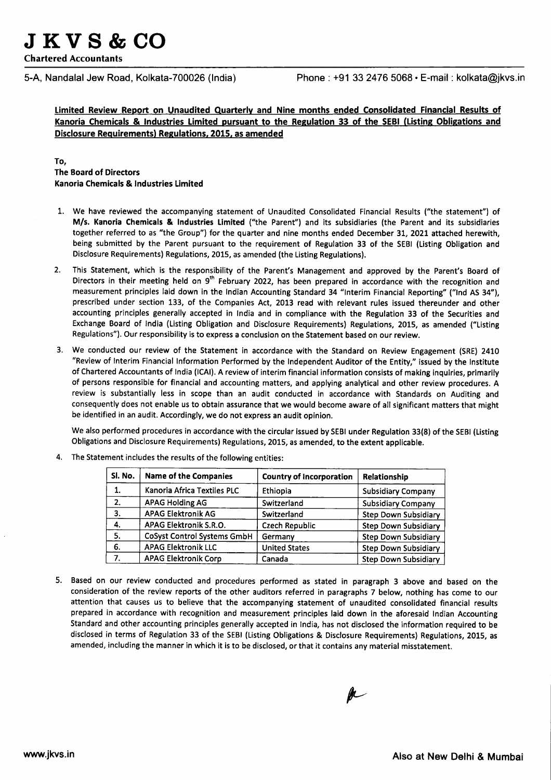**JKV8&CO**

Chartered Accountants

5-A, Nandalal Jew Road, Kolkata-700026 (India) Phone: +91 3324765068· E-mail: kolkata@jkvs.in

Limited Review Report on Unaudited Quarterly and Nine months ended Consolidated Financial Results of Kanoria Chemicals & Industries Limited pursuant to the Regulation 33 of the SEBI (Listing Obligations and Disclosure Requirements) Regulations. 2015. as amended

# To, The Board of Directors Kanoria Chemicals& Industries Limited

- 1. We have reviewed the accompanying statement of Unaudited Consolidated Financial Results ("the statement") of M/s. Kanoria Chemicals & Industries Limited ("the Parent") and its subsidiaries (the Parent and its subsidiaries together referred to as "the Group") for the quarter and nine months ended December 31, 2021 attached herewith, being submitted by the Parent pursuant to the requirement of Regulation 33 of the SEBI(Listing Obligation and Disclosure Requirements) Regulations, 2015, as amended (the Listing Regulations).
- 2. This Statement, which is the responsibility of the Parent's Management and approved by the Parent's Board of Directors in their meeting held on  $9<sup>th</sup>$  February 2022, has been prepared in accordance with the recognition and measurement principles laid down in the Indian Accounting Standard 34 "Interim Financial Reporting" ("Ind AS 34"), prescribed under section 133, of the Companies Act, 2013 read with relevant rules issued thereunder and other accounting principles generally accepted in India and in compliance with the Regulation 33 of the Securities and Exchange Board of India (Listing Obligation and Disclosure Requirements) Regulations, 2015, as amended ("Listing Regulations"). Our responsibility is to express a conclusion on the Statement based on our review.
- 3. We conducted our review of the Statement in accordance with the Standard on Review Engagement (SRE) 2410 "Review of Interim Financial Information Performed by the Independent Auditor of the Entity," issued by the Institute of Chartered Accountants of India (ICAI). A review of interim financial information consists of making inquiries, primarily of persons responsible for financial and accounting matters, and applying analytical and other review procedures. A review is substantially less in scope than an audit conducted in accordance with Standards on Auditing and consequently does not enable us to obtain assurance that we would become aware of all significant matters that might be identified in an audit. Accordingly, we do not express an audit opinion.

We also performed procedures in accordance with the circular issued by SEBI under Regulation 33(8) of the SEBI (Listing Obligations and Disclosure Requirements) Regulations, 2015, as amended, to the extent applicable.

| Sl. No. | <b>Name of the Companies</b>       | <b>Country of Incorporation</b> |                             |
|---------|------------------------------------|---------------------------------|-----------------------------|
| 1.      | Kanoria Africa Textiles PLC        | Ethiopia                        | <b>Subsidiary Company</b>   |
| 2.      | <b>APAG Holding AG</b>             | Switzerland                     | <b>Subsidiary Company</b>   |
| 3.      | <b>APAG Elektronik AG</b>          | Switzerland                     | <b>Step Down Subsidiary</b> |
| 4.      | APAG Elektronik S.R.O.             | <b>Czech Republic</b>           | <b>Step Down Subsidiary</b> |
| 5.      | <b>CoSyst Control Systems GmbH</b> | Germany                         | <b>Step Down Subsidiary</b> |
| 6.      | <b>APAG Elektronik LLC</b>         | <b>United States</b>            | <b>Step Down Subsidiary</b> |
| 7.      | <b>APAG Elektronik Corp</b>        | Canada                          | <b>Step Down Subsidiary</b> |

4. The Statement includes the results of the following entities:

5. Based on our review conducted and procedures performed as stated in paragraph 3 above and based on the consideration of the review reports of the other auditors referred in paragraphs7 below, nothing has come to our attention that causes us to believe that the accompanying statement of unaudited consolidated financial results prepared in accordance with recognition and measurement principles laid down in the aforesaid Indian Accounting Standard and other accounting principles generally accepted in India, has not disclosed the information required to be disclosed in terms of Regulation 33 of the SEBI (Listing Obligations & Disclosure Requirements) Regulations, 2015, as amended, including the manner in which it is to be disclosed, or that it contains any material misstatement.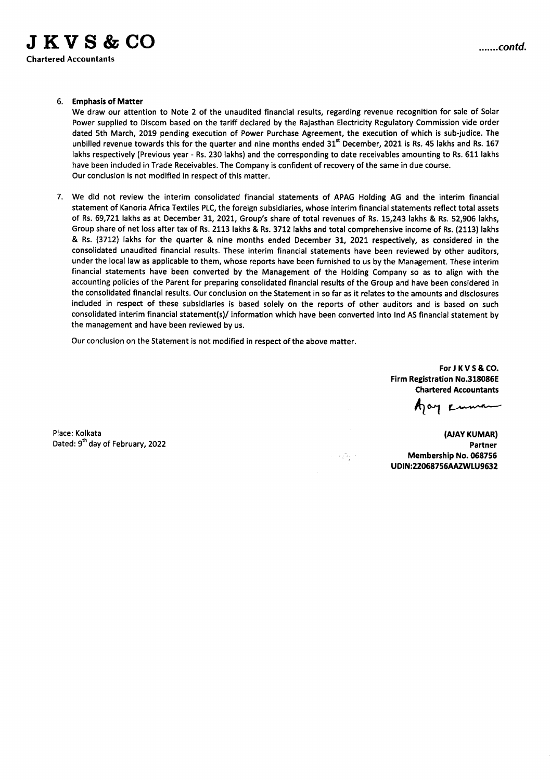### 6. Emphasis of Matter

We draw our attention to Note 2 of the unaudited financial results, regarding revenue recognition for sale of Solar Power supplied to Discom based on the tariff declared by the Rajasthan Electricity Regulatory Commission vide order dated 5th March, 2019 pending execution of Power Purchase Agreement, the execution of which is sub-judice. The unbilled revenue towards this for the quarter and nine months ended  $31<sup>st</sup>$  December, 2021 is Rs. 45 lakhs and Rs. 167 lakhs respectively (Previous year - Rs. 230 lakhs) and the corresponding to date receivables amounting to Rs. 611 lakhs have been included in Trade Receivables. The Company is confident of recovery of the same in due course. Our conclusion is not modified in respect of this matter.

7. We did not review the interim consolidated financial statements of APAG Holding AG and the interim financial statement of Kanoria Africa Textiles PLC, the foreign subsidiaries, whose interim financial statements reflect total assets of Rs. 69,721 lakhs as at December 31, 2021, Group's share of total revenues of Rs. 15,243 lakhs & Rs. 52,906 lakhs, Group share of net loss after tax of Rs. 2113 lakhs & Rs. 3712 lakhs and total comprehensive income of Rs.(2113) lakhs & Rs. (3712) lakhs for the quarter & nine months ended December 31, 2021 respectively, as considered in the consolidated unaudited financial results. These interim financial statements have been reviewed by other auditors, under the local law as applicable to them, whose reports have been furnished to us by the Management. These interim financial statements have been converted by the Management of the Holding Company so as to align with the accounting policies of the Parent for preparing consolidated financial results of the Group and have been considered in the consolidated financial results. Our conclusion on the Statement in so far as it relates to the amounts and disclosures included in respect of these subsidiaries is based solely on the reports of other auditors and is based on such consolidated interim financial statement(s)/ information which have been converted into Ind AS financial statement by the management and have been reviewed by us.

Our conclusion on the Statement is not modified in respect of the above matter.

For J K V S & CO. Firm Registration No.318086E Chartered Accountants

Aay Kuma

Place: Kolkata Dated: 9<sup>th</sup> day of February, 2022

(AJAY KUMAR) Partner Membership No. 068756 UDIN:22068756AAZWLU9632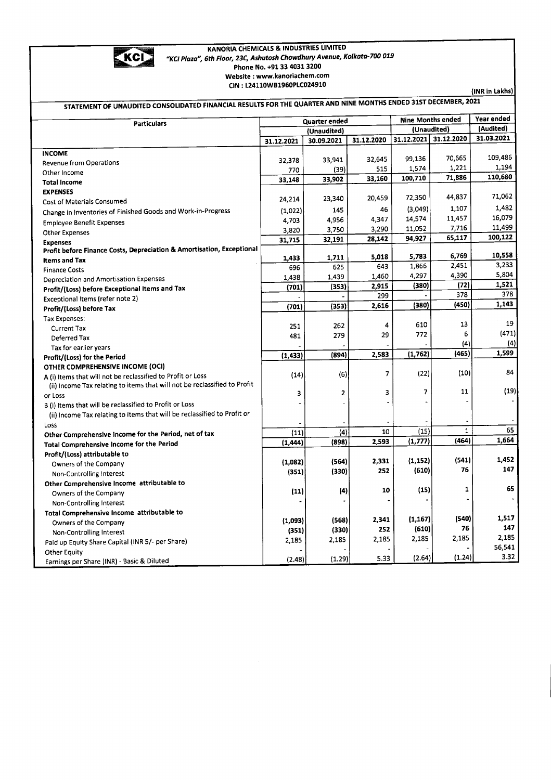

#### KANORIA CHEMICALS& INDUSTRIESLIMITED *"KCI Plaza", 6th Flaor, 23C,Ashutosh Chowdhury Avenue, Kolkata-700 019* Phone No. +91 33 4031 3200 Website: www.kanoriachem.com CIN : L24110WB1960PLC024910

(INR in Lakhs)

| STATEMENT OF UNAUDITED CONSOLIDATED FINANCIAL RESULTS FOR THE QUARTER AND NINE MONTHS ENDED 31ST DECEMBER, 2021                          |               |                |            |            |                          |            |  |
|------------------------------------------------------------------------------------------------------------------------------------------|---------------|----------------|------------|------------|--------------------------|------------|--|
| <b>Particulars</b>                                                                                                                       | Quarter ended |                |            |            | <b>Nine Months ended</b> | Year ended |  |
|                                                                                                                                          |               | (Unaudited)    |            |            | (Unaudited)              | (Audited)  |  |
|                                                                                                                                          | 31.12.2021    | 30.09.2021     | 31.12.2020 | 31.12.2021 | 31.12.2020               | 31.03.2021 |  |
| <b>INCOME</b>                                                                                                                            |               |                |            |            |                          |            |  |
| Revenue from Operations                                                                                                                  | 32,378        | 33,941         | 32,645     | 99,136     | 70,665                   | 109,486    |  |
| Other Income                                                                                                                             | 770           | (39)           | 515        | 1,574      | 1,221                    | 1,194      |  |
| <b>Total Income</b>                                                                                                                      | 33,148        | 33,902         | 33,160     | 100,710    | 71,886                   | 110,680    |  |
| <b>EXPENSES</b>                                                                                                                          |               |                |            |            |                          | 71,062     |  |
| Cost of Materials Consumed                                                                                                               | 24,214        | 23,340         | 20,459     | 72,350     | 44,837                   |            |  |
| Change in Inventories of Finished Goods and Work-in-Progress                                                                             | (1,022)       | 145            | 46         | (3,049)    | 1,107                    | 1,482      |  |
| <b>Employee Benefit Expenses</b>                                                                                                         | 4,703         | 4,956          | 4,347      | 14,574     | 11,457                   | 16,079     |  |
| Other Expenses                                                                                                                           | 3,820         | 3,750          | 3,290      | 11,052     | 7,716                    | 11,499     |  |
| <b>Expenses</b>                                                                                                                          | 31,715        | 32,191         | 28,142     | 94,927     | 65,117                   | 100,122    |  |
| Profit before Finance Costs, Depreciation & Amortisation, Exceptional                                                                    |               |                | 5,018      | 5,783      | 6,769                    | 10,558     |  |
| <b>Items and Tax</b>                                                                                                                     | 1,433         | 1,711<br>625   | 643        | 1,866      | 2,451                    | 3,233      |  |
| <b>Finance Costs</b>                                                                                                                     | 696           |                | 1,460      | 4,297      | 4,390                    | 5,804      |  |
| Depreciation and Amortisation Expenses                                                                                                   | 1,438         | 1,439<br>(353) | 2,915      | (380)      | (72)                     | 1,521      |  |
| Profit/(Loss) before Exceptional Items and Tax                                                                                           | (701)         |                | 299        |            | 378                      | 378        |  |
| Exceptional Items (refer note 2)                                                                                                         |               | (353)          | 2,616      | (380)      | (450)                    | 1,143      |  |
| Profit/(Loss) before Tax                                                                                                                 | (701)         |                |            |            |                          |            |  |
| Tax Expenses:                                                                                                                            |               | 262            | 4          | 610        | 13                       | 19         |  |
| <b>Current Tax</b>                                                                                                                       | 251<br>481    | 279            | 29         | 772        | 6                        | (471)      |  |
| Deferred Tax                                                                                                                             |               |                |            |            | (4)                      | (4)        |  |
| Tax for earlier years                                                                                                                    | (1, 433)      | (894)          | 2,583      | (1,762)    | (465)                    | 1,599      |  |
| Profit/(Loss) for the Period                                                                                                             |               |                |            |            |                          |            |  |
| OTHER COMPREHENSIVE INCOME (OCI)                                                                                                         | (14)          | (6)            | 7          | (22)       | (10)                     | 84         |  |
| A (i) Items that will not be reclassified to Profit or Loss<br>(ii) Income Tax relating to items that will not be reclassified to Profit |               |                |            |            |                          |            |  |
| or Loss                                                                                                                                  | 3             | 2              | 3          | 7          | 11                       | (19)       |  |
| B (i) Items that will be reclassified to Profit or Loss                                                                                  |               |                |            |            |                          |            |  |
| (ii) Income Tax relating to items that will be reclassified to Profit or                                                                 |               |                |            |            |                          |            |  |
| Loss                                                                                                                                     |               |                |            |            |                          |            |  |
| Other Comprehensive Income for the Period, net of tax                                                                                    | (11)          | (4)            | 10         | (15)       | $\mathbf{1}$             | 65         |  |
| Total Comprehensive Income for the Period                                                                                                | (1, 444)      | (898)          | 2,593      | (1, 777)   | (464)                    | 1,664      |  |
| Profit/(Loss) attributable to                                                                                                            |               |                |            |            |                          |            |  |
| Owners of the Company                                                                                                                    | (1,082)       | (564)          | 2,331      | (1, 152)   | (541)                    | 1,452      |  |
| Non-Controlling Interest                                                                                                                 | (351)         | (330)          | 252        | (610)      | 76                       | 147        |  |
| Other Comprehensive Income attributable to                                                                                               |               |                |            |            |                          |            |  |
| Owners of the Company                                                                                                                    | (11)          | (4)            | 10         | (15)       | 1                        | 65         |  |
| Non-Controlling Interest                                                                                                                 |               |                |            |            |                          |            |  |
| Total Comprehensive Income attributable to                                                                                               |               |                |            |            |                          |            |  |
| Owners of the Company                                                                                                                    | (1,093)       | (568)          | 2,341      | (1, 167)   | (540)                    | 1,517      |  |
| Non-Controlling Interest                                                                                                                 | (351)         | (330)          | 252        | (610)      | 76                       | 147        |  |
| Paid up Equity Share Capital (INR 5/- per Share)                                                                                         | 2,185         | 2,185          | 2,185      | 2,185      | 2,185                    | 2,185      |  |
| <b>Other Equity</b>                                                                                                                      |               |                |            |            |                          | 56,541     |  |
| Earnings per Share (INR) - Basic & Diluted                                                                                               | (2.48)        | (1.29)         | 5.33       | (2.64)     | (1.24)                   | 3.32       |  |